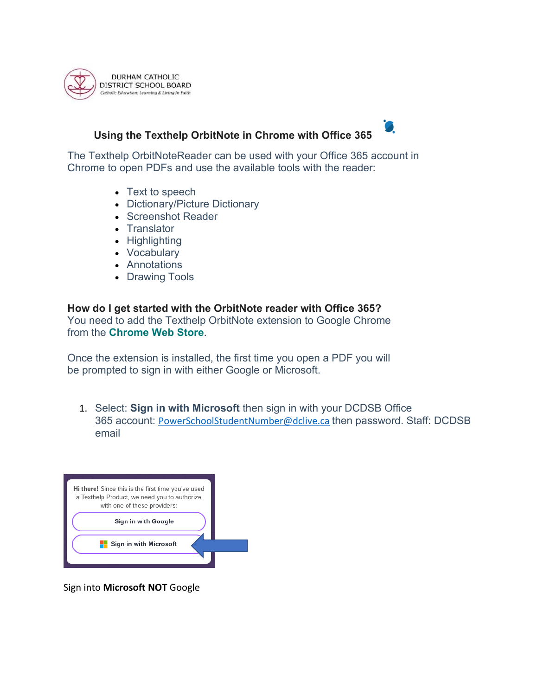

# **Using the Texthelp OrbitNote in Chrome with Office 365**



The Texthelp OrbitNoteReader can be used with your Office 365 account in Chrome to open PDFs and use the available tools with the reader:

- Text to speech
- Dictionary/Picture Dictionary
- Screenshot Reader
- Translator
- Highlighting
- Vocabulary
- Annotations
- Drawing Tools

**How do I get started with the OrbitNote reader with Office 365?** You need to add the Texthelp OrbitNote extension to Google Chrome from the **Chrome Web Store**.

Once the extension is installed, the first time you open a PDF you will be prompted to sign in with either Google or Microsoft.

1. Select: **Sign in with Microsoft** then sign in with your DCDSB Office 365 account: PowerSchoolStudentNumber@dclive.ca then password. Staff: DCDSB email

| Hi there! Since this is the first time you've used<br>a Texthelp Product, we need you to authorize<br>with one of these providers: |  |
|------------------------------------------------------------------------------------------------------------------------------------|--|
| Sign in with Google                                                                                                                |  |
| Sign in with Microsoft                                                                                                             |  |
|                                                                                                                                    |  |

Sign into **Microsoft NOT** Google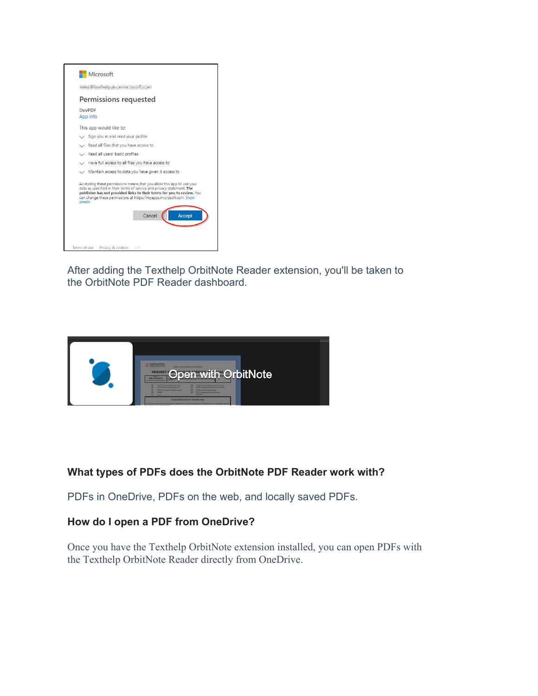

After adding the Texthelp OrbitNote Reader extension, you'll be taken to the OrbitNote PDF Reader dashboard.



## **What types of PDFs does the OrbitNote PDF Reader work with?**

PDFs in OneDrive, PDFs on the web, and locally saved PDFs.

### **How do I open a PDF from OneDrive?**

Once you have the Texthelp OrbitNote extension installed, you can open PDFs with the Texthelp OrbitNote Reader directly from OneDrive.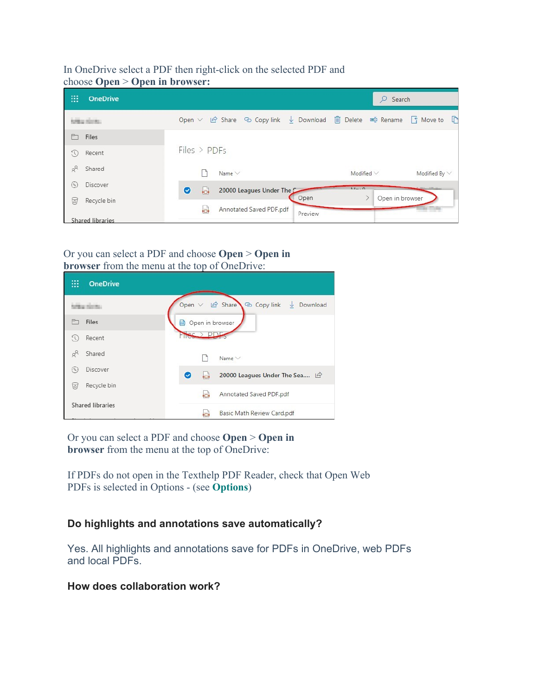#### In OneDrive select a PDF then right-click on the selected PDF and choose **Open** > **Open in browser:**

| ₩<br><b>OneDrive</b>          |                                                                                                                   | Search<br>Ω                           |  |
|-------------------------------|-------------------------------------------------------------------------------------------------------------------|---------------------------------------|--|
| <b>NAMES ASSESSED</b>         | Open $\vee$ $\circ$ Share $\circ$ Copy link $\vee$ Download $\circ$ Delete $\circ$ Rename $\circ$ Move to $\circ$ |                                       |  |
| m<br>Files                    |                                                                                                                   |                                       |  |
| $\zeta$<br>Recent             | $Files$ > $PDFs$                                                                                                  |                                       |  |
| $\alpha^{\text{R}}$<br>Shared | Name $\vee$                                                                                                       | Modified $\vee$<br>Modified By $\vee$ |  |
| Discover<br>$(\mathscr{A})$   | O<br>ь<br>20000 Leagues Under The                                                                                 | $A + 0$                               |  |
| 7<br>Recycle bin              | Open<br>Annotated Saved PDF.pdf<br>юÌ                                                                             | Open in browser                       |  |
| <b>Shared libraries</b>       | Preview                                                                                                           |                                       |  |

#### Or you can select a PDF and choose **Open** > **Open in browser** from the menu at the top of OneDrive:

| m<br><b>OneDrive</b>          |                                                                     |
|-------------------------------|---------------------------------------------------------------------|
| initian show                  | Open $\vee$ $\bigoplus$ Share<br>Copy link<br>$\downarrow$ Download |
| <b>Files</b>                  | <b>a</b> Open in browser                                            |
| Recent<br>EC)                 |                                                                     |
| x<br>Shared                   | Name <sub></sub>                                                    |
| Discover<br>$(\triangledown)$ | 20000 Leagues Under The Sea  <br>۱a<br>Ø                            |
| Recycle bin<br>তা             |                                                                     |
|                               | Annotated Saved PDF.pdf<br>ы                                        |
| <b>Shared libraries</b>       | Basic Math Review Card.pdf<br>òП.                                   |

Or you can select a PDF and choose **Open** > **Open in browser** from the menu at the top of OneDrive:

If PDFs do not open in the Texthelp PDF Reader, check that Open Web PDFs is selected in Options - (see **Options**)

## **Do highlights and annotations save automatically?**

Yes. All highlights and annotations save for PDFs in OneDrive, web PDFs and local PDFs.

### **How does collaboration work?**